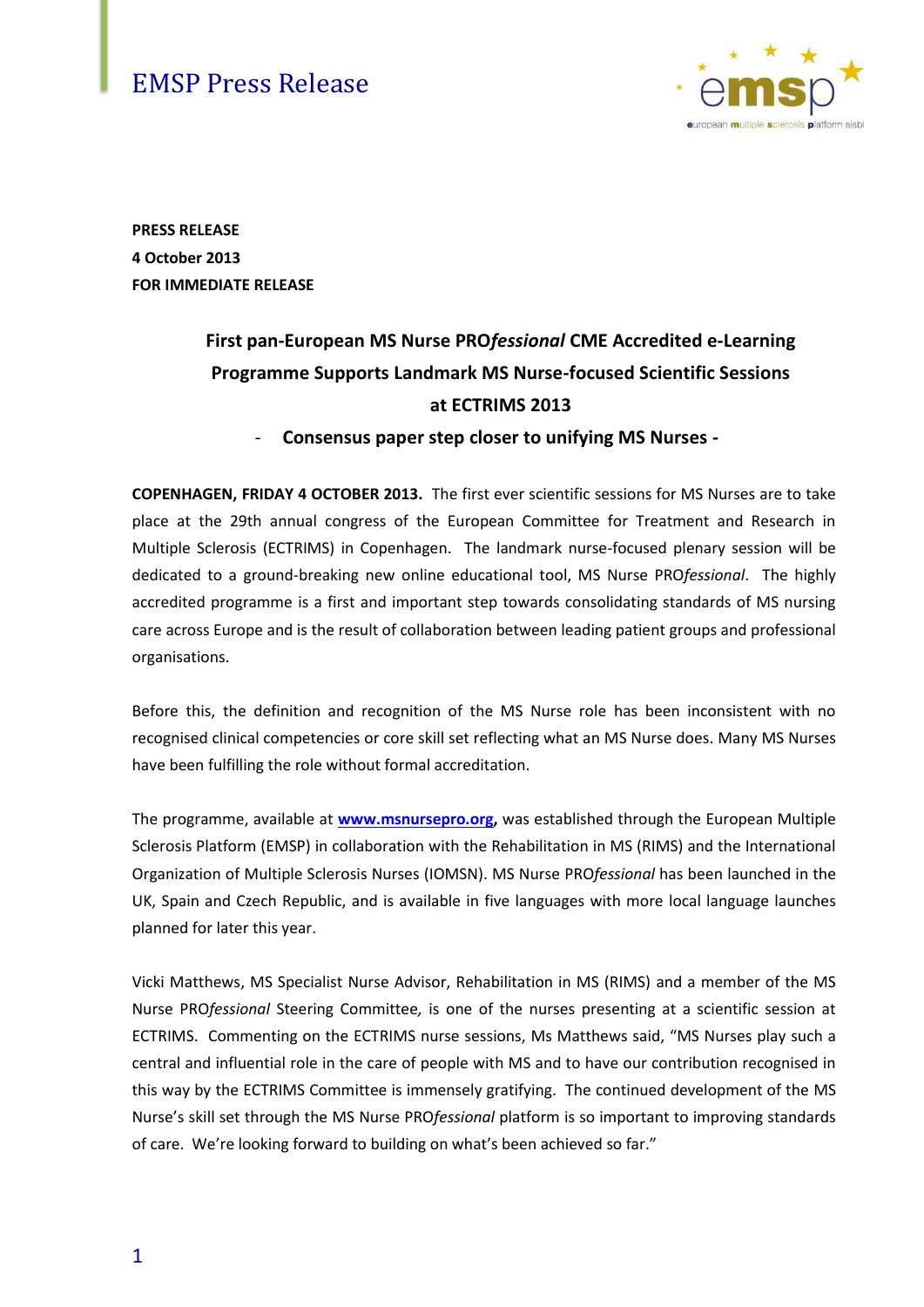### EMSP Press Release



**PRESS RELEASE 4 October 2013 FOR IMMEDIATE RELEASE**

## **First pan-European MS Nurse PRO***fessional* **CME Accredited e-Learning Programme Supports Landmark MS Nurse-focused Scientific Sessions at ECTRIMS 2013**

- **Consensus paper step closer to unifying MS Nurses -**

**COPENHAGEN, FRIDAY 4 OCTOBER 2013.** The first ever scientific sessions for MS Nurses are to take place at the 29th annual congress of the European Committee for Treatment and Research in Multiple Sclerosis (ECTRIMS) in Copenhagen. The landmark nurse-focused plenary session will be dedicated to a ground-breaking new online educational tool, MS Nurse PRO*fessional*. The highly accredited programme is a first and important step towards consolidating standards of MS nursing care across Europe and is the result of collaboration between leading patient groups and professional organisations.

Before this, the definition and recognition of the MS Nurse role has been inconsistent with no recognised clinical competencies or core skill set reflecting what an MS Nurse does. Many MS Nurses have been fulfilling the role without formal accreditation.

The programme, available at **[www.msnursepro.org,](http://www.msnursepro.org/)** was established through the European Multiple Sclerosis Platform (EMSP) in collaboration with the Rehabilitation in MS (RIMS) and the International Organization of Multiple Sclerosis Nurses (IOMSN). MS Nurse PRO*fessional* has been launched in the UK, Spain and Czech Republic, and is available in five languages with more local language launches planned for later this year.

Vicki Matthews, MS Specialist Nurse Advisor, Rehabilitation in MS (RIMS) and a member of the MS Nurse PRO*fessional* Steering Committee*,* is one of the nurses presenting at a scientific session at ECTRIMS. Commenting on the ECTRIMS nurse sessions, Ms Matthews said, "MS Nurses play such a central and influential role in the care of people with MS and to have our contribution recognised in this way by the ECTRIMS Committee is immensely gratifying. The continued development of the MS Nurse's skill set through the MS Nurse PRO*fessional* platform is so important to improving standards of care. We're looking forward to building on what's been achieved so far."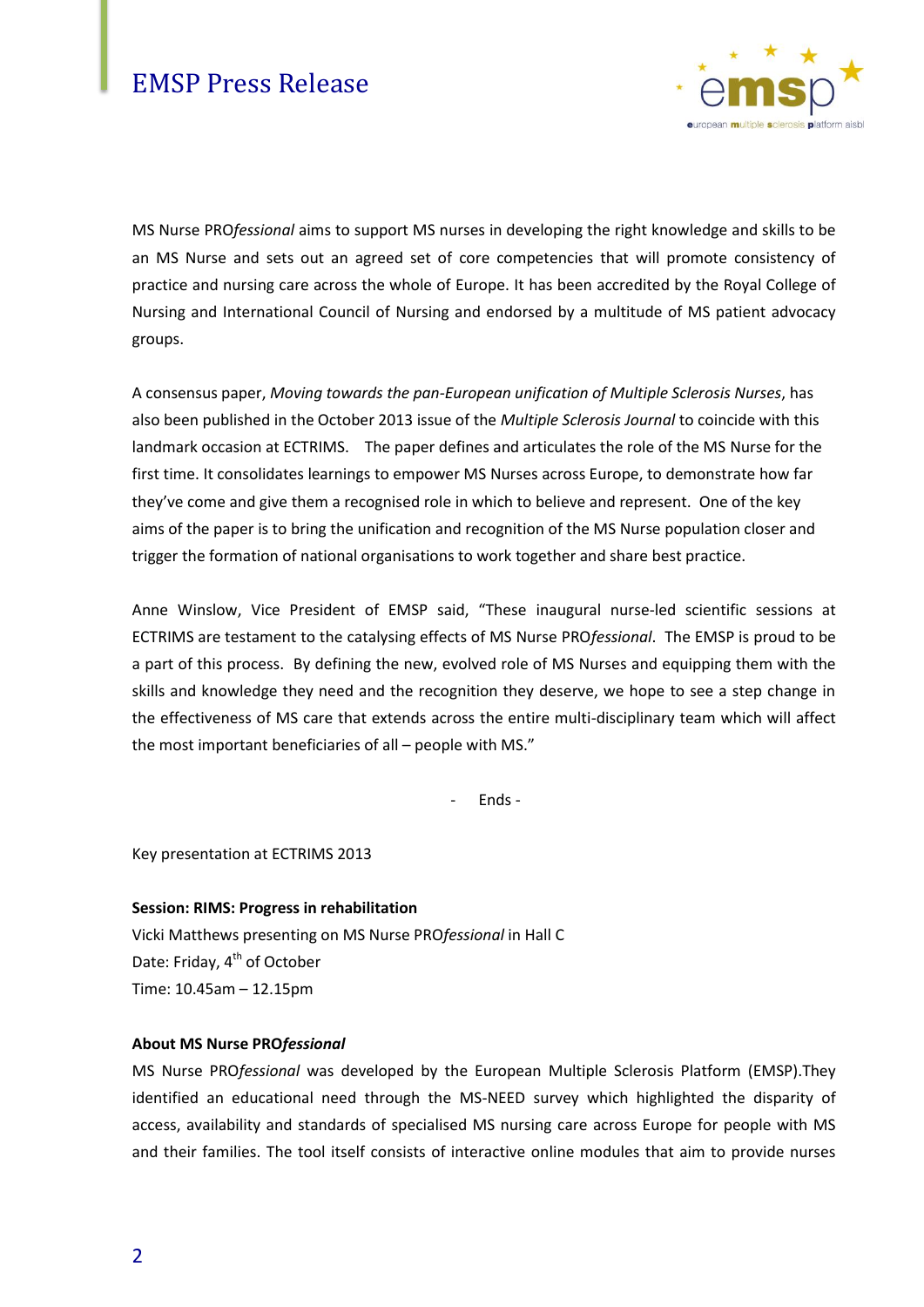

MS Nurse PRO*fessional* aims to support MS nurses in developing the right knowledge and skills to be an MS Nurse and sets out an agreed set of core competencies that will promote consistency of practice and nursing care across the whole of Europe. It has been accredited by the Royal College of Nursing and International Council of Nursing and endorsed by a multitude of MS patient advocacy groups.

A consensus paper, *Moving towards the pan-European unification of Multiple Sclerosis Nurses*, has also been published in the October 2013 issue of the *Multiple Sclerosis Journal* to coincide with this landmark occasion at ECTRIMS. The paper defines and articulates the role of the MS Nurse for the first time. It consolidates learnings to empower MS Nurses across Europe, to demonstrate how far they've come and give them a recognised role in which to believe and represent. One of the key aims of the paper is to bring the unification and recognition of the MS Nurse population closer and trigger the formation of national organisations to work together and share best practice.

Anne Winslow, Vice President of EMSP said, "These inaugural nurse-led scientific sessions at ECTRIMS are testament to the catalysing effects of MS Nurse PRO*fessional*. The EMSP is proud to be a part of this process. By defining the new, evolved role of MS Nurses and equipping them with the skills and knowledge they need and the recognition they deserve, we hope to see a step change in the effectiveness of MS care that extends across the entire multi-disciplinary team which will affect the most important beneficiaries of all – people with MS."

- Ends -

Key presentation at ECTRIMS 2013

**Session: RIMS: Progress in rehabilitation** Vicki Matthews presenting on MS Nurse PRO*fessional* in Hall C Date: Friday, 4<sup>th</sup> of October Time: 10.45am – 12.15pm

#### **About MS Nurse PRO***fessional*

MS Nurse PRO*fessional* was developed by the European Multiple Sclerosis Platform (EMSP).They identified an educational need through the MS-NEED survey which highlighted the disparity of access, availability and standards of specialised MS nursing care across Europe for people with MS and their families. The tool itself consists of interactive online modules that aim to provide nurses